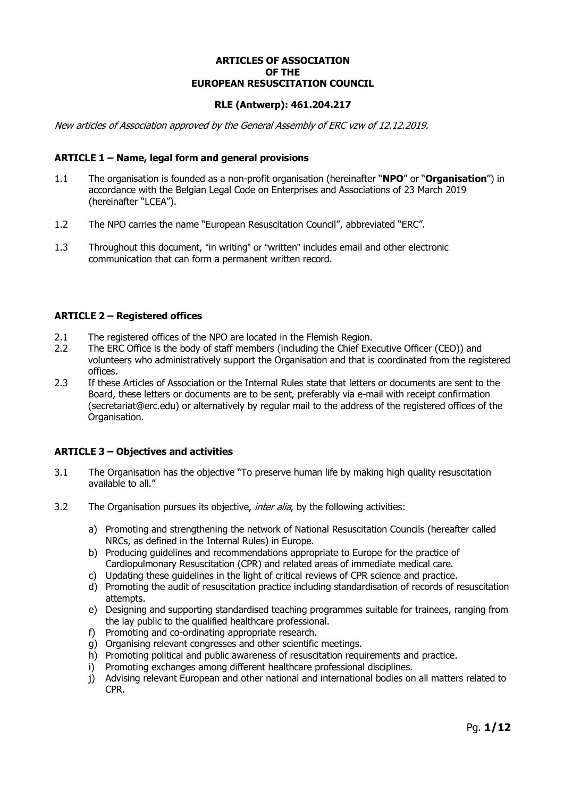# **ARTICLES OF ASSOCIATION OF THE EUROPEAN RESUSCITATION COUNCIL**

# **RLE (Antwerp): 461.204.217**

New articles of Association approved by the General Assembly of ERC vzw of 12.12.2019.

### **ARTICLE 1 – Name, legal form and general provisions**

- 1.1 The organisation is founded as a non-profit organisation (hereinafter "**NPO**" or "**Organisation**") in accordance with the Belgian Legal Code on Enterprises and Associations of 23 March 2019 (hereinafter "LCEA").
- 1.2 The NPO carries the name "European Resuscitation Council", abbreviated "ERC".
- 1.3 Throughout this document, "in writing" or "written" includes email and other electronic communication that can form a permanent written record.

#### **ARTICLE 2 – Registered offices**

- 2.1 The registered offices of the NPO are located in the Flemish Region.
- 2.2 The ERC Office is the body of staff members (including the Chief Executive Officer (CEO)) and volunteers who administratively support the Organisation and that is coordinated from the registered offices.
- 2.3 If these Articles of Association or the Internal Rules state that letters or documents are sent to the Board, these letters or documents are to be sent, preferably via e-mail with receipt confirmation (secretariat@erc.edu) or alternatively by regular mail to the address of the registered offices of the Organisation.

### **ARTICLE 3 – Objectives and activities**

- 3.1 The Organisation has the objective "To preserve human life by making high quality resuscitation available to all."
- 3.2 The Organisation pursues its objective, *inter alia*, by the following activities:
	- a) Promoting and strengthening the network of National Resuscitation Councils (hereafter called NRCs, as defined in the Internal Rules) in Europe.
	- b) Producing guidelines and recommendations appropriate to Europe for the practice of Cardiopulmonary Resuscitation (CPR) and related areas of immediate medical care.
	- c) Updating these guidelines in the light of critical reviews of CPR science and practice.
	- d) Promoting the audit of resuscitation practice including standardisation of records of resuscitation attempts.
	- e) Designing and supporting standardised teaching programmes suitable for trainees, ranging from the lay public to the qualified healthcare professional.
	- f) Promoting and co-ordinating appropriate research.
	- g) Organising relevant congresses and other scientific meetings.
	- h) Promoting political and public awareness of resuscitation requirements and practice.
	- i) Promoting exchanges among different healthcare professional disciplines.
	- j) Advising relevant European and other national and international bodies on all matters related to CPR.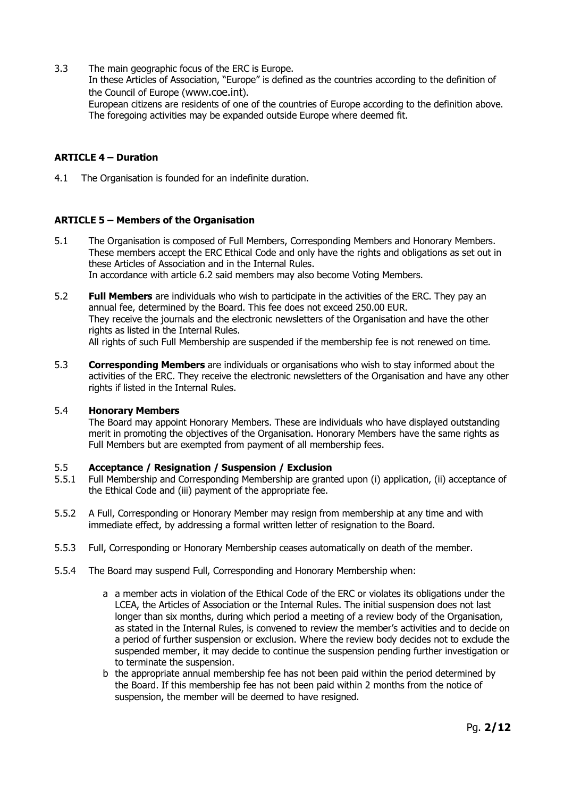3.3 The main geographic focus of the ERC is Europe.

In these Articles of Association, "Europe" is defined as the countries according to the definition of the Council of Europe (www.coe.int).

European citizens are residents of one of the countries of Europe according to the definition above. The foregoing activities may be expanded outside Europe where deemed fit.

# **ARTICLE 4 – Duration**

4.1 The Organisation is founded for an indefinite duration.

# **ARTICLE 5 – Members of the Organisation**

- 5.1 The Organisation is composed of Full Members, Corresponding Members and Honorary Members. These members accept the ERC Ethical Code and only have the rights and obligations as set out in these Articles of Association and in the Internal Rules. In accordance with article 6.2 said members may also become Voting Members.
- 5.2 **Full Members** are individuals who wish to participate in the activities of the ERC. They pay an annual fee, determined by the Board. This fee does not exceed 250.00 EUR. They receive the journals and the electronic newsletters of the Organisation and have the other rights as listed in the Internal Rules. All rights of such Full Membership are suspended if the membership fee is not renewed on time.
- 5.3 **Corresponding Members** are individuals or organisations who wish to stay informed about the activities of the ERC. They receive the electronic newsletters of the Organisation and have any other rights if listed in the Internal Rules.

# 5.4 **Honorary Members**

The Board may appoint Honorary Members. These are individuals who have displayed outstanding merit in promoting the objectives of the Organisation. Honorary Members have the same rights as Full Members but are exempted from payment of all membership fees.

### 5.5 **Acceptance / Resignation / Suspension / Exclusion**

- 5.5.1 Full Membership and Corresponding Membership are granted upon (i) application, (ii) acceptance of the Ethical Code and (iii) payment of the appropriate fee.
- 5.5.2 A Full, Corresponding or Honorary Member may resign from membership at any time and with immediate effect, by addressing a formal written letter of resignation to the Board.
- 5.5.3 Full, Corresponding or Honorary Membership ceases automatically on death of the member.
- 5.5.4 The Board may suspend Full, Corresponding and Honorary Membership when:
	- a a member acts in violation of the Ethical Code of the ERC or violates its obligations under the LCEA, the Articles of Association or the Internal Rules. The initial suspension does not last longer than six months, during which period a meeting of a review body of the Organisation, as stated in the Internal Rules, is convened to review the member's activities and to decide on a period of further suspension or exclusion. Where the review body decides not to exclude the suspended member, it may decide to continue the suspension pending further investigation or to terminate the suspension.
	- b the appropriate annual membership fee has not been paid within the period determined by the Board. If this membership fee has not been paid within 2 months from the notice of suspension, the member will be deemed to have resigned.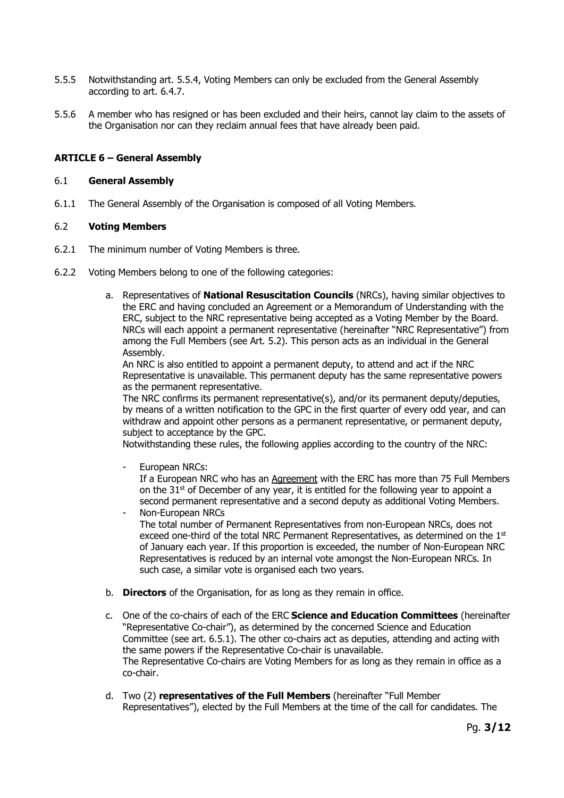- 5.5.5 Notwithstanding art. 5.5.4, Voting Members can only be excluded from the General Assembly according to art. 6.4.7.
- 5.5.6 A member who has resigned or has been excluded and their heirs, cannot lay claim to the assets of the Organisation nor can they reclaim annual fees that have already been paid.

### **ARTICLE 6 – General Assembly**

#### 6.1 **General Assembly**

6.1.1 The General Assembly of the Organisation is composed of all Voting Members.

#### 6.2 **Voting Members**

- 6.2.1 The minimum number of Voting Members is three.
- 6.2.2 Voting Members belong to one of the following categories:
	- a. Representatives of **National Resuscitation Councils** (NRCs), having similar objectives to the ERC and having concluded an Agreement or a Memorandum of Understanding with the ERC, subject to the NRC representative being accepted as a Voting Member by the Board. NRCs will each appoint a permanent representative (hereinafter "NRC Representative") from among the Full Members (see Art. 5.2). This person acts as an individual in the General Assembly.

An NRC is also entitled to appoint a permanent deputy, to attend and act if the NRC Representative is unavailable. This permanent deputy has the same representative powers as the permanent representative.

The NRC confirms its permanent representative(s), and/or its permanent deputy/deputies, by means of a written notification to the GPC in the first quarter of every odd year, and can withdraw and appoint other persons as a permanent representative, or permanent deputy, subject to acceptance by the GPC.

Notwithstanding these rules, the following applies according to the country of the NRC:

European NRCs:

If a European NRC who has an Agreement with the ERC has more than 75 Full Members on the  $31<sup>st</sup>$  of December of any year, it is entitled for the following year to appoint a second permanent representative and a second deputy as additional Voting Members.

- Non-European NRCs The total number of Permanent Representatives from non-European NRCs, does not exceed one-third of the total NRC Permanent Representatives, as determined on the  $1<sup>st</sup>$ of January each year. If this proportion is exceeded, the number of Non-European NRC Representatives is reduced by an internal vote amongst the Non-European NRCs. In such case, a similar vote is organised each two years.
- b. **Directors** of the Organisation, for as long as they remain in office.
- c. One of the co-chairs of each of the ERC **Science and Education Committees** (hereinafter "Representative Co-chair"), as determined by the concerned Science and Education Committee (see art. 6.5.1). The other co-chairs act as deputies, attending and acting with the same powers if the Representative Co-chair is unavailable. The Representative Co-chairs are Voting Members for as long as they remain in office as a co-chair.
- d. Two (2) **representatives of the Full Members** (hereinafter "Full Member Representatives"), elected by the Full Members at the time of the call for candidates. The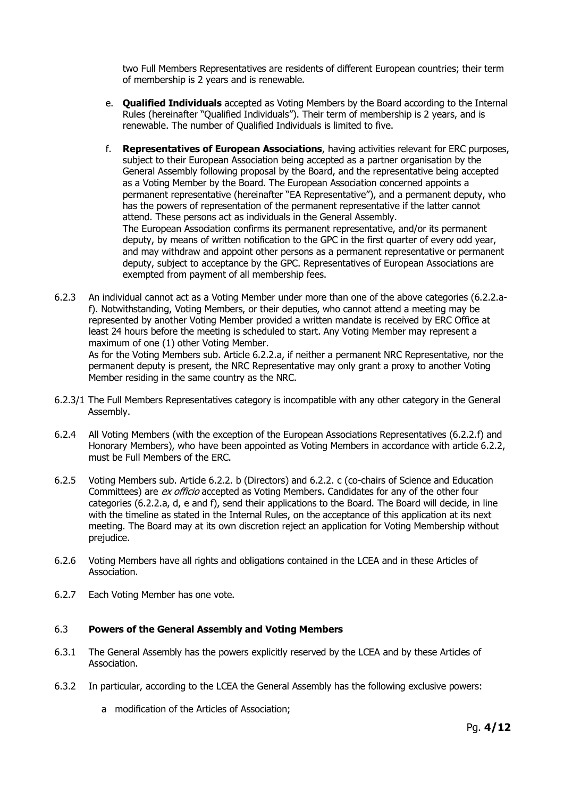two Full Members Representatives are residents of different European countries; their term of membership is 2 years and is renewable.

- e. **Qualified Individuals** accepted as Voting Members by the Board according to the Internal Rules (hereinafter "Qualified Individuals"). Their term of membership is 2 years, and is renewable. The number of Qualified Individuals is limited to five.
- f. **Representatives of European Associations**, having activities relevant for ERC purposes, subject to their European Association being accepted as a partner organisation by the General Assembly following proposal by the Board, and the representative being accepted as a Voting Member by the Board. The European Association concerned appoints a permanent representative (hereinafter "EA Representative"), and a permanent deputy, who has the powers of representation of the permanent representative if the latter cannot attend. These persons act as individuals in the General Assembly. The European Association confirms its permanent representative, and/or its permanent deputy, by means of written notification to the GPC in the first quarter of every odd year, and may withdraw and appoint other persons as a permanent representative or permanent deputy, subject to acceptance by the GPC. Representatives of European Associations are exempted from payment of all membership fees.
- 6.2.3 An individual cannot act as a Voting Member under more than one of the above categories (6.2.2.af). Notwithstanding, Voting Members, or their deputies, who cannot attend a meeting may be represented by another Voting Member provided a written mandate is received by ERC Office at least 24 hours before the meeting is scheduled to start. Any Voting Member may represent a maximum of one (1) other Voting Member. As for the Voting Members sub. Article 6.2.2.a, if neither a permanent NRC Representative, nor the permanent deputy is present, the NRC Representative may only grant a proxy to another Voting Member residing in the same country as the NRC.
- 6.2.3/1 The Full Members Representatives category is incompatible with any other category in the General Assembly.
- 6.2.4 All Voting Members (with the exception of the European Associations Representatives (6.2.2.f) and Honorary Members), who have been appointed as Voting Members in accordance with article 6.2.2, must be Full Members of the ERC.
- 6.2.5 Voting Members sub. Article 6.2.2. b (Directors) and 6.2.2. c (co-chairs of Science and Education Committees) are ex officio accepted as Voting Members. Candidates for any of the other four categories (6.2.2.a, d, e and f), send their applications to the Board. The Board will decide, in line with the timeline as stated in the Internal Rules, on the acceptance of this application at its next meeting. The Board may at its own discretion reject an application for Voting Membership without prejudice.
- 6.2.6 Voting Members have all rights and obligations contained in the LCEA and in these Articles of Association.
- 6.2.7 Each Voting Member has one vote.

### 6.3 **Powers of the General Assembly and Voting Members**

- 6.3.1 The General Assembly has the powers explicitly reserved by the LCEA and by these Articles of Association.
- 6.3.2 In particular, according to the LCEA the General Assembly has the following exclusive powers:
	- a modification of the Articles of Association;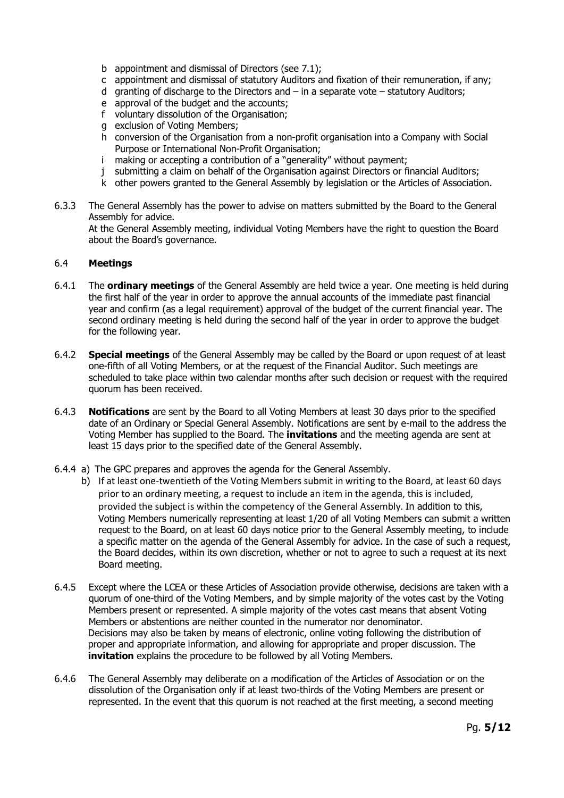- b appointment and dismissal of Directors (see 7.1);
- c appointment and dismissal of statutory Auditors and fixation of their remuneration, if any;
- d granting of discharge to the Directors and  $-$  in a separate vote  $-$  statutory Auditors;
- e approval of the budget and the accounts;
- f voluntary dissolution of the Organisation;
- g exclusion of Voting Members;
- h conversion of the Organisation from a non-profit organisation into a Company with Social Purpose or International Non-Profit Organisation;
- i making or accepting a contribution of a "generality" without payment;
- j submitting a claim on behalf of the Organisation against Directors or financial Auditors;
- k other powers granted to the General Assembly by legislation or the Articles of Association.
- 6.3.3 The General Assembly has the power to advise on matters submitted by the Board to the General Assembly for advice.

At the General Assembly meeting, individual Voting Members have the right to question the Board about the Board's governance.

#### 6.4 **Meetings**

- 6.4.1 The **ordinary meetings** of the General Assembly are held twice a year. One meeting is held during the first half of the year in order to approve the annual accounts of the immediate past financial year and confirm (as a legal requirement) approval of the budget of the current financial year. The second ordinary meeting is held during the second half of the year in order to approve the budget for the following year.
- 6.4.2 **Special meetings** of the General Assembly may be called by the Board or upon request of at least one-fifth of all Voting Members, or at the request of the Financial Auditor. Such meetings are scheduled to take place within two calendar months after such decision or request with the required quorum has been received.
- 6.4.3 **Notifications** are sent by the Board to all Voting Members at least 30 days prior to the specified date of an Ordinary or Special General Assembly. Notifications are sent by e-mail to the address the Voting Member has supplied to the Board. The **invitations** and the meeting agenda are sent at least 15 days prior to the specified date of the General Assembly.
- 6.4.4 a) The GPC prepares and approves the agenda for the General Assembly.
	- b) If at least one-twentieth of the Voting Members submit in writing to the Board, at least 60 days prior to an ordinary meeting, a request to include an item in the agenda, this is included, provided the subject is within the competency of the General Assembly. In addition to this, Voting Members numerically representing at least 1/20 of all Voting Members can submit a written request to the Board, on at least 60 days notice prior to the General Assembly meeting, to include a specific matter on the agenda of the General Assembly for advice. In the case of such a request, the Board decides, within its own discretion, whether or not to agree to such a request at its next Board meeting.
- 6.4.5 Except where the LCEA or these Articles of Association provide otherwise, decisions are taken with a quorum of one-third of the Voting Members, and by simple majority of the votes cast by the Voting Members present or represented. A simple majority of the votes cast means that absent Voting Members or abstentions are neither counted in the numerator nor denominator. Decisions may also be taken by means of electronic, online voting following the distribution of proper and appropriate information, and allowing for appropriate and proper discussion. The **invitation** explains the procedure to be followed by all Voting Members.
- 6.4.6 The General Assembly may deliberate on a modification of the Articles of Association or on the dissolution of the Organisation only if at least two-thirds of the Voting Members are present or represented. In the event that this quorum is not reached at the first meeting, a second meeting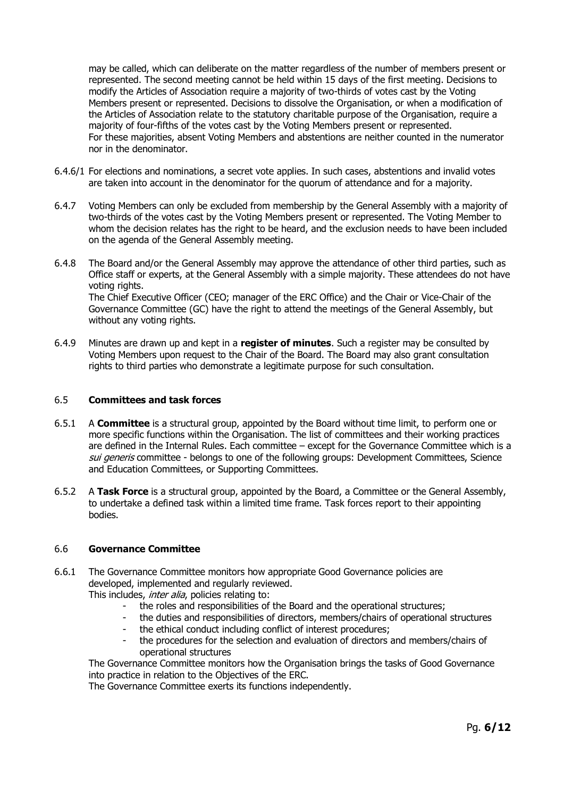may be called, which can deliberate on the matter regardless of the number of members present or represented. The second meeting cannot be held within 15 days of the first meeting. Decisions to modify the Articles of Association require a majority of two-thirds of votes cast by the Voting Members present or represented. Decisions to dissolve the Organisation, or when a modification of the Articles of Association relate to the statutory charitable purpose of the Organisation, require a majority of four-fifths of the votes cast by the Voting Members present or represented. For these majorities, absent Voting Members and abstentions are neither counted in the numerator nor in the denominator.

- 6.4.6/1 For elections and nominations, a secret vote applies. In such cases, abstentions and invalid votes are taken into account in the denominator for the quorum of attendance and for a majority.
- 6.4.7 Voting Members can only be excluded from membership by the General Assembly with a majority of two-thirds of the votes cast by the Voting Members present or represented. The Voting Member to whom the decision relates has the right to be heard, and the exclusion needs to have been included on the agenda of the General Assembly meeting.
- 6.4.8 The Board and/or the General Assembly may approve the attendance of other third parties, such as Office staff or experts, at the General Assembly with a simple majority. These attendees do not have voting rights. The Chief Executive Officer (CEO; manager of the ERC Office) and the Chair or Vice-Chair of the Governance Committee (GC) have the right to attend the meetings of the General Assembly, but without any voting rights.
- 6.4.9 Minutes are drawn up and kept in a **register of minutes**. Such a register may be consulted by Voting Members upon request to the Chair of the Board. The Board may also grant consultation rights to third parties who demonstrate a legitimate purpose for such consultation.

### 6.5 **Committees and task forces**

- 6.5.1 A **Committee** is a structural group, appointed by the Board without time limit, to perform one or more specific functions within the Organisation. The list of committees and their working practices are defined in the Internal Rules. Each committee – except for the Governance Committee which is a sui generis committee - belongs to one of the following groups: Development Committees, Science and Education Committees, or Supporting Committees.
- 6.5.2 A **Task Force** is a structural group, appointed by the Board, a Committee or the General Assembly, to undertake a defined task within a limited time frame. Task forces report to their appointing bodies.

### 6.6 **Governance Committee**

6.6.1 The Governance Committee monitors how appropriate Good Governance policies are developed, implemented and regularly reviewed.

This includes, *inter alia*, policies relating to:

- the roles and responsibilities of the Board and the operational structures;
- the duties and responsibilities of directors, members/chairs of operational structures
- the ethical conduct including conflict of interest procedures;
- the procedures for the selection and evaluation of directors and members/chairs of operational structures

The Governance Committee monitors how the Organisation brings the tasks of Good Governance into practice in relation to the Objectives of the ERC.

The Governance Committee exerts its functions independently.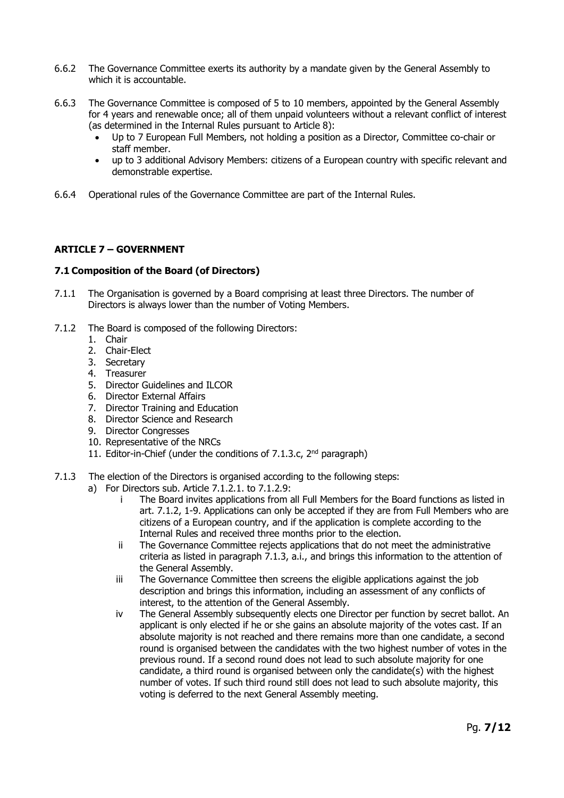- 6.6.2 The Governance Committee exerts its authority by a mandate given by the General Assembly to which it is accountable.
- 6.6.3 The Governance Committee is composed of 5 to 10 members, appointed by the General Assembly for 4 years and renewable once; all of them unpaid volunteers without a relevant conflict of interest (as determined in the Internal Rules pursuant to Article 8):
	- Up to 7 European Full Members, not holding a position as a Director, Committee co-chair or staff member.
	- up to 3 additional Advisory Members: citizens of a European country with specific relevant and demonstrable expertise.
- 6.6.4 Operational rules of the Governance Committee are part of the Internal Rules.

### **ARTICLE 7 – GOVERNMENT**

### **7.1 Composition of the Board (of Directors)**

- 7.1.1 The Organisation is governed by a Board comprising at least three Directors. The number of Directors is always lower than the number of Voting Members.
- 7.1.2 The Board is composed of the following Directors:
	- 1. Chair
	- 2. Chair-Elect
	- 3. Secretary
	- 4. Treasurer
	- 5. Director Guidelines and ILCOR
	- 6. Director External Affairs
	- 7. Director Training and Education
	- 8. Director Science and Research
	- 9. Director Congresses
	- 10. Representative of the NRCs
	- 11. Editor-in-Chief (under the conditions of 7.1.3.c, 2<sup>nd</sup> paragraph)
- 7.1.3 The election of the Directors is organised according to the following steps:
	- a) For Directors sub. Article 7.1.2.1. to 7.1.2.9:
		- i The Board invites applications from all Full Members for the Board functions as listed in art. 7.1.2, 1-9. Applications can only be accepted if they are from Full Members who are citizens of a European country, and if the application is complete according to the Internal Rules and received three months prior to the election.
		- ii The Governance Committee rejects applications that do not meet the administrative criteria as listed in paragraph 7.1.3, a.i., and brings this information to the attention of the General Assembly.
		- iii The Governance Committee then screens the eligible applications against the job description and brings this information, including an assessment of any conflicts of interest, to the attention of the General Assembly.
		- iv The General Assembly subsequently elects one Director per function by secret ballot. An applicant is only elected if he or she gains an absolute majority of the votes cast. If an absolute majority is not reached and there remains more than one candidate, a second round is organised between the candidates with the two highest number of votes in the previous round. If a second round does not lead to such absolute majority for one candidate, a third round is organised between only the candidate(s) with the highest number of votes. If such third round still does not lead to such absolute majority, this voting is deferred to the next General Assembly meeting.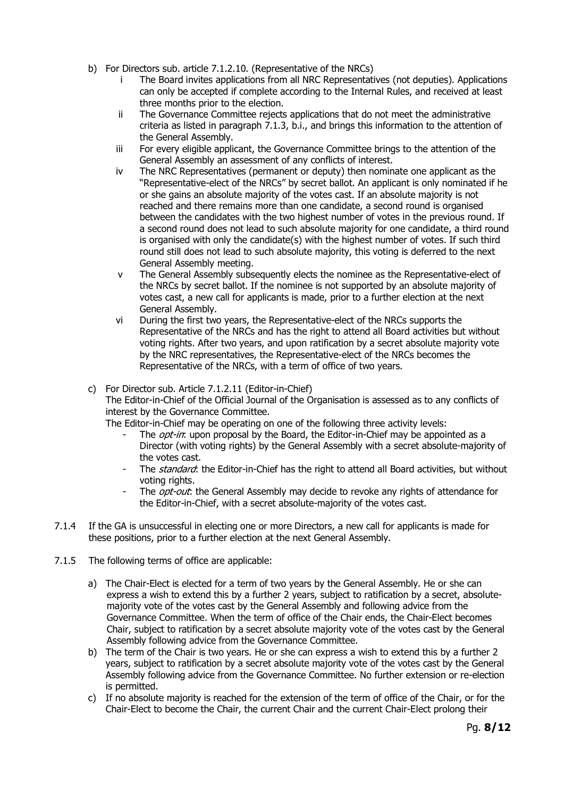- b) For Directors sub. article 7.1.2.10. (Representative of the NRCs)
	- i The Board invites applications from all NRC Representatives (not deputies). Applications can only be accepted if complete according to the Internal Rules, and received at least three months prior to the election.
	- ii The Governance Committee rejects applications that do not meet the administrative criteria as listed in paragraph 7.1.3, b.i., and brings this information to the attention of the General Assembly.
	- iii For every eligible applicant, the Governance Committee brings to the attention of the General Assembly an assessment of any conflicts of interest.
	- iv The NRC Representatives (permanent or deputy) then nominate one applicant as the "Representative-elect of the NRCs" by secret ballot. An applicant is only nominated if he or she gains an absolute majority of the votes cast. If an absolute majority is not reached and there remains more than one candidate, a second round is organised between the candidates with the two highest number of votes in the previous round. If a second round does not lead to such absolute majority for one candidate, a third round is organised with only the candidate(s) with the highest number of votes. If such third round still does not lead to such absolute majority, this voting is deferred to the next General Assembly meeting.
	- v The General Assembly subsequently elects the nominee as the Representative-elect of the NRCs by secret ballot. If the nominee is not supported by an absolute majority of votes cast, a new call for applicants is made, prior to a further election at the next General Assembly.
	- vi During the first two years, the Representative-elect of the NRCs supports the Representative of the NRCs and has the right to attend all Board activities but without voting rights. After two years, and upon ratification by a secret absolute majority vote by the NRC representatives, the Representative-elect of the NRCs becomes the Representative of the NRCs, with a term of office of two years.
- c) For Director sub. Article 7.1.2.11 (Editor-in-Chief)

The Editor-in-Chief of the Official Journal of the Organisation is assessed as to any conflicts of interest by the Governance Committee.

- The Editor-in-Chief may be operating on one of the following three activity levels:
	- The *opt-in*: upon proposal by the Board, the Editor-in-Chief may be appointed as a Director (with voting rights) by the General Assembly with a secret absolute-majority of the votes cast.
	- The standard: the Editor-in-Chief has the right to attend all Board activities, but without voting rights.
	- The *opt-out*: the General Assembly may decide to revoke any rights of attendance for the Editor-in-Chief, with a secret absolute-majority of the votes cast.
- 7.1.4 If the GA is unsuccessful in electing one or more Directors, a new call for applicants is made for these positions, prior to a further election at the next General Assembly.
- 7.1.5 The following terms of office are applicable:
	- a) The Chair-Elect is elected for a term of two years by the General Assembly. He or she can express a wish to extend this by a further 2 years, subject to ratification by a secret, absolutemajority vote of the votes cast by the General Assembly and following advice from the Governance Committee. When the term of office of the Chair ends, the Chair-Elect becomes Chair, subject to ratification by a secret absolute majority vote of the votes cast by the General Assembly following advice from the Governance Committee.
	- b) The term of the Chair is two years. He or she can express a wish to extend this by a further 2 years, subject to ratification by a secret absolute majority vote of the votes cast by the General Assembly following advice from the Governance Committee. No further extension or re-election is permitted.
	- c) If no absolute majority is reached for the extension of the term of office of the Chair, or for the Chair-Elect to become the Chair, the current Chair and the current Chair-Elect prolong their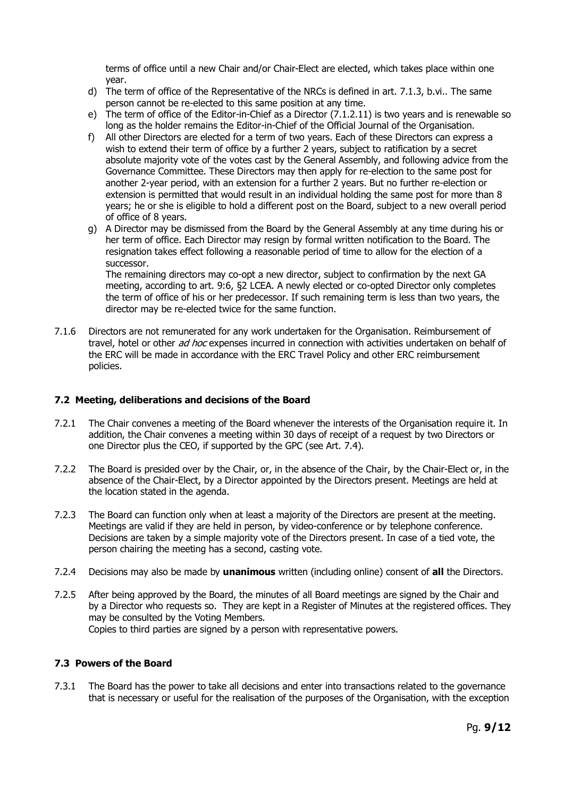terms of office until a new Chair and/or Chair-Elect are elected, which takes place within one year.

- d) The term of office of the Representative of the NRCs is defined in art. 7.1.3, b.vi.. The same person cannot be re-elected to this same position at any time.
- e) The term of office of the Editor-in-Chief as a Director (7.1.2.11) is two years and is renewable so long as the holder remains the Editor-in-Chief of the Official Journal of the Organisation.
- f) All other Directors are elected for a term of two years. Each of these Directors can express a wish to extend their term of office by a further 2 years, subject to ratification by a secret absolute majority vote of the votes cast by the General Assembly, and following advice from the Governance Committee. These Directors may then apply for re-election to the same post for another 2-year period, with an extension for a further 2 years. But no further re-election or extension is permitted that would result in an individual holding the same post for more than 8 years; he or she is eligible to hold a different post on the Board, subject to a new overall period of office of 8 years.
- g) A Director may be dismissed from the Board by the General Assembly at any time during his or her term of office. Each Director may resign by formal written notification to the Board. The resignation takes effect following a reasonable period of time to allow for the election of a successor.

The remaining directors may co-opt a new director, subject to confirmation by the next GA meeting, according to art. 9:6, §2 LCEA. A newly elected or co-opted Director only completes the term of office of his or her predecessor. If such remaining term is less than two years, the director may be re-elected twice for the same function.

7.1.6 Directors are not remunerated for any work undertaken for the Organisation. Reimbursement of travel, hotel or other ad hoc expenses incurred in connection with activities undertaken on behalf of the ERC will be made in accordance with the ERC Travel Policy and other ERC reimbursement policies.

# **7.2 Meeting, deliberations and decisions of the Board**

- 7.2.1 The Chair convenes a meeting of the Board whenever the interests of the Organisation require it. In addition, the Chair convenes a meeting within 30 days of receipt of a request by two Directors or one Director plus the CEO, if supported by the GPC (see Art. 7.4).
- 7.2.2 The Board is presided over by the Chair, or, in the absence of the Chair, by the Chair-Elect or, in the absence of the Chair-Elect, by a Director appointed by the Directors present. Meetings are held at the location stated in the agenda.
- 7.2.3 The Board can function only when at least a majority of the Directors are present at the meeting. Meetings are valid if they are held in person, by video-conference or by telephone conference. Decisions are taken by a simple majority vote of the Directors present. In case of a tied vote, the person chairing the meeting has a second, casting vote.
- 7.2.4 Decisions may also be made by **unanimous** written (including online) consent of **all** the Directors.
- 7.2.5 After being approved by the Board, the minutes of all Board meetings are signed by the Chair and by a Director who requests so. They are kept in a Register of Minutes at the registered offices. They may be consulted by the Voting Members. Copies to third parties are signed by a person with representative powers.

# **7.3 Powers of the Board**

7.3.1 The Board has the power to take all decisions and enter into transactions related to the governance that is necessary or useful for the realisation of the purposes of the Organisation, with the exception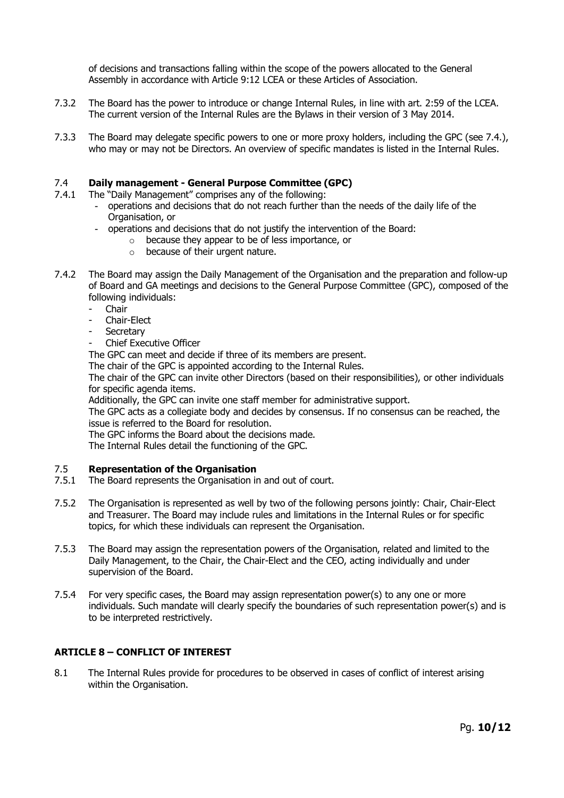of decisions and transactions falling within the scope of the powers allocated to the General Assembly in accordance with Article 9:12 LCEA or these Articles of Association.

- 7.3.2 The Board has the power to introduce or change Internal Rules, in line with art. 2:59 of the LCEA. The current version of the Internal Rules are the Bylaws in their version of 3 May 2014.
- 7.3.3 The Board may delegate specific powers to one or more proxy holders, including the GPC (see 7.4.), who may or may not be Directors. An overview of specific mandates is listed in the Internal Rules.

#### 7.4 **Daily management - General Purpose Committee (GPC)**

- 7.4.1 The "Daily Management" comprises any of the following:
	- operations and decisions that do not reach further than the needs of the daily life of the Organisation, or
	- operations and decisions that do not justify the intervention of the Board:
		- o because they appear to be of less importance, or
		- o because of their urgent nature.
- 7.4.2 The Board may assign the Daily Management of the Organisation and the preparation and follow-up of Board and GA meetings and decisions to the General Purpose Committee (GPC), composed of the following individuals:
	- **Chair**
	- Chair-Elect
	- **Secretary**
	- Chief Executive Officer

The GPC can meet and decide if three of its members are present.

The chair of the GPC is appointed according to the Internal Rules.

The chair of the GPC can invite other Directors (based on their responsibilities), or other individuals for specific agenda items.

Additionally, the GPC can invite one staff member for administrative support.

The GPC acts as a collegiate body and decides by consensus. If no consensus can be reached, the issue is referred to the Board for resolution.

The GPC informs the Board about the decisions made.

The Internal Rules detail the functioning of the GPC.

### 7.5 **Representation of the Organisation**

- 7.5.1 The Board represents the Organisation in and out of court.
- 7.5.2 The Organisation is represented as well by two of the following persons jointly: Chair, Chair-Elect and Treasurer. The Board may include rules and limitations in the Internal Rules or for specific topics, for which these individuals can represent the Organisation.
- 7.5.3 The Board may assign the representation powers of the Organisation, related and limited to the Daily Management, to the Chair, the Chair-Elect and the CEO, acting individually and under supervision of the Board.
- 7.5.4 For very specific cases, the Board may assign representation power(s) to any one or more individuals. Such mandate will clearly specify the boundaries of such representation power(s) and is to be interpreted restrictively.

### **ARTICLE 8 – CONFLICT OF INTEREST**

8.1 The Internal Rules provide for procedures to be observed in cases of conflict of interest arising within the Organisation.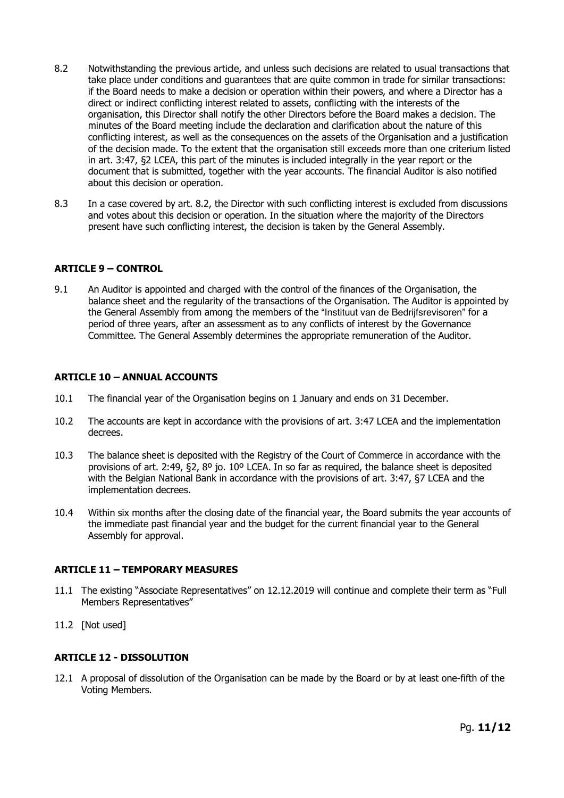- 8.2 Notwithstanding the previous article, and unless such decisions are related to usual transactions that take place under conditions and guarantees that are quite common in trade for similar transactions: if the Board needs to make a decision or operation within their powers, and where a Director has a direct or indirect conflicting interest related to assets, conflicting with the interests of the organisation, this Director shall notify the other Directors before the Board makes a decision. The minutes of the Board meeting include the declaration and clarification about the nature of this conflicting interest, as well as the consequences on the assets of the Organisation and a justification of the decision made. To the extent that the organisation still exceeds more than one criterium listed in art. 3:47, §2 LCEA, this part of the minutes is included integrally in the year report or the document that is submitted, together with the year accounts. The financial Auditor is also notified about this decision or operation.
- 8.3 In a case covered by art. 8.2, the Director with such conflicting interest is excluded from discussions and votes about this decision or operation. In the situation where the majority of the Directors present have such conflicting interest, the decision is taken by the General Assembly.

### **ARTICLE 9 – CONTROL**

9.1 An Auditor is appointed and charged with the control of the finances of the Organisation, the balance sheet and the regularity of the transactions of the Organisation. The Auditor is appointed by the General Assembly from among the members of the "Instituut van de Bedrijfsrevisoren" for a period of three years, after an assessment as to any conflicts of interest by the Governance Committee. The General Assembly determines the appropriate remuneration of the Auditor.

#### **ARTICLE 10 – ANNUAL ACCOUNTS**

- 10.1 The financial year of the Organisation begins on 1 January and ends on 31 December.
- 10.2 The accounts are kept in accordance with the provisions of art. 3:47 LCEA and the implementation decrees.
- 10.3 The balance sheet is deposited with the Registry of the Court of Commerce in accordance with the provisions of art. 2:49,  $\Sigma$ ,  $S$ <sup>o</sup> jo. 10<sup>o</sup> LCEA. In so far as required, the balance sheet is deposited with the Belgian National Bank in accordance with the provisions of art. 3:47, §7 LCEA and the implementation decrees.
- 10.4 Within six months after the closing date of the financial year, the Board submits the year accounts of the immediate past financial year and the budget for the current financial year to the General Assembly for approval.

### **ARTICLE 11 – TEMPORARY MEASURES**

- 11.1 The existing "Associate Representatives" on 12.12.2019 will continue and complete their term as "Full Members Representatives"
- 11.2 [Not used]

### **ARTICLE 12 - DISSOLUTION**

12.1 A proposal of dissolution of the Organisation can be made by the Board or by at least one-fifth of the Voting Members.